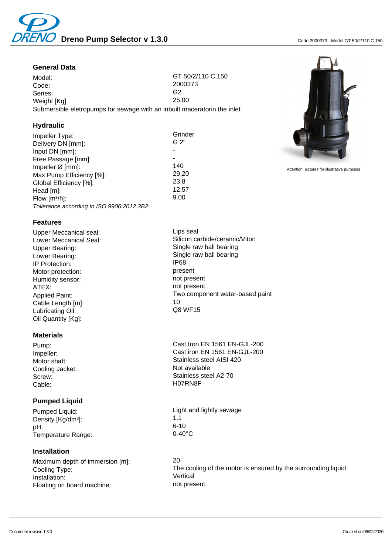

## **General Data**

Model: GT 50/2/110 C.150 Code: 2000373<br>
Series: 2000373<br>
Series: G2 Series: G2 Weight [Kg] Submersible eletropumps for sewage with an inbuilt maceratorin the inlet

## **Hydraulic**

Impeller Type: Grinder (Grinder School) (Grinder Grinder (Grinder Grinder Grinder Grinder Grinder Grinder Grinder G Delivery DN [mm]: Input DN [mm]: - Free Passage [mm]:  $\frac{1}{2}$  and  $\frac{1}{2}$  and  $\frac{1}{2}$  and  $\frac{1}{2}$  and  $\frac{1}{2}$  and  $\frac{1}{2}$  and  $\frac{1}{2}$  and  $\frac{1}{2}$  and  $\frac{1}{2}$  and  $\frac{1}{2}$  and  $\frac{1}{2}$  and  $\frac{1}{2}$  and  $\frac{1}{2}$  and  $\frac{1}{2}$  and  $\frac{1}{$ Impeller Ø [mm]: 140 Max Pump Efficiency [%]: 29.20<br>Global Efficiency [%]: 23.8 Global Efficiency [%]: 23.8 Head [m]: 12.57<br>Flow Im<sup>3</sup>/hl: 12.57  $Flow [m<sup>3</sup>/h]$ : Tollerance according to ISO 9906:2012 3B2

#### **Features**

Upper Meccanical seal: Lips seal IP Protection: IP68<br>Motor protection: Internal present Motor protection: example and present present present protection:<br>
Humidity sensor: example and present present Humidity sensor: ATEX: not present Cable Length [m]: 10<br>10 Unicating Oil: 10 COS WE15 Lubricating Oil: Oil Quantity [Kg]:

## **Materials**

Cooling Jacket: Not available Cable: H07RN8F

## **Pumped Liquid**

Density [Kg/dm<sup>3</sup>]:  $1.1$ <br>nH: 6-10 pH: 6-10 Temperature Range: 0-40°C

## **Installation**

Maximum depth of immersion [m]: 20 Installation: Vertical<br>
Floating on board machine: The Manuscription of present Floating on board machine:

Lower Meccanical Seal: Silicon carbide/ceramic/Viton Upper Bearing: Single raw ball bearing Lower Bearing:<br>
IP Protection:<br>
IP Protection:<br>
IP Protection:<br>
IP Protection: Applied Paint:<br>
Coble Longth [m]

Pump: Cast Iron EN 1561 EN-GJL-200 Impeller: Cast iron EN 1561 EN-GJL-200 Motor shaft: Motor shaft: Stainless steel AISI 420 Screw: Stainless steel A2-70

Pumped Liquid:<br>
Density IKo/dm<sup>31</sup><br>
2.1<br>
1.1

Cooling Type:<br>
The cooling of the motor is ensured by the surrounding liquid<br>
Vertical<br>
Vertical



Attention: pictures for illustrative purposes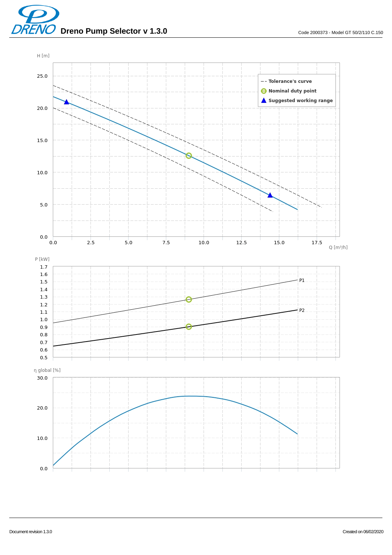**Dreno Pump Selector v 1.3.0** Code 2000373 - Model GT 50/2/110 C.150

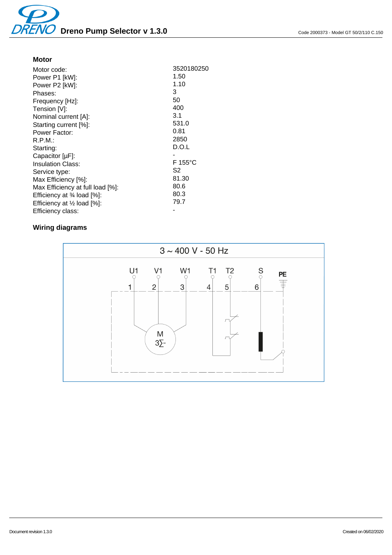## **Motor**

| Motor code:                                                   | 3520180250 |
|---------------------------------------------------------------|------------|
| Power P1 [kW]:                                                | 1.50       |
| Power P2 [kW]:                                                | 1.10       |
| Phases:                                                       | 3          |
| Frequency [Hz]:                                               | 50         |
| Tension [V]:                                                  | 400        |
| Nominal current [A]:                                          | 3.1        |
| Starting current [%]:                                         | 531.0      |
| Power Factor:                                                 | 0.81       |
| R.P.M.                                                        | 2850       |
| Starting:                                                     | D.O.L      |
| Capacitor [µF]:                                               |            |
| <b>Insulation Class:</b>                                      | $F$ 155°C  |
| Service type:                                                 | S2         |
| Max Efficiency [%]:                                           | 81.30      |
| Max Efficiency at full load [%]:                              | 80.6       |
| Efficiency at $\frac{3}{4}$ load $[\%]$ :                     | 80.3       |
| Efficiency at $\frac{1}{2}$ load $\left[\frac{1}{2}\right]$ : | 79.7       |
| Efficiency class:                                             |            |
|                                                               |            |

# **Wiring diagrams**